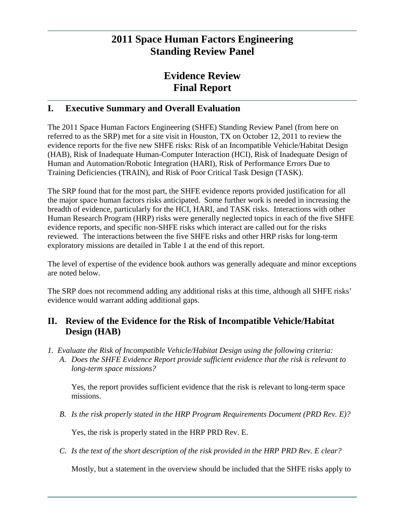# **2011 Space Human Factors Engineering Standing Review Panel**

# **Evidence Review Final Report**

# **I. Executive Summary and Overall Evaluation**

The 2011 Space Human Factors Engineering (SHFE) Standing Review Panel (from here on referred to as the SRP) met for a site visit in Houston, TX on October 12, 2011 to review the evidence reports for the five new SHFE risks: Risk of an Incompatible Vehicle/Habitat Design (HAB), Risk of Inadequate Human-Computer Interaction (HCI), Risk of Inadequate Design of Human and Automation/Robotic Integration (HARI), Risk of Performance Errors Due to Training Deficiencies (TRAIN), and Risk of Poor Critical Task Design (TASK).

The SRP found that for the most part, the SHFE evidence reports provided justification for all the major space human factors risks anticipated. Some further work is needed in increasing the breadth of evidence, particularly for the HCI, HARI, and TASK risks. Interactions with other Human Research Program (HRP) risks were generally neglected topics in each of the five SHFE evidence reports, and specific non-SHFE risks which interact are called out for the risks reviewed. The interactions between the five SHFE risks and other HRP risks for long-term exploratory missions are detailed in Table 1 at the end of this report.

The level of expertise of the evidence book authors was generally adequate and minor exceptions are noted below.

The SRP does not recommend adding any additional risks at this time, although all SHFE risks' evidence would warrant adding additional gaps.

# **II. Review of the Evidence for the Risk of Incompatible Vehicle/Habitat Design (HAB)**

- *1. Evaluate the Risk of Incompatible Vehicle/Habitat Design using the following criteria:* 
	- *A. Does the SHFE Evidence Report provide sufficient evidence that the risk is relevant to long-term space missions?*

Yes, the report provides sufficient evidence that the risk is relevant to long-term space missions.

*B. Is the risk properly stated in the HRP Program Requirements Document (PRD Rev. E)?* 

Yes, the risk is properly stated in the HRP PRD Rev. E.

*C. Is the text of the short description of the risk provided in the HRP PRD Rev. E clear?* 

Mostly, but a statement in the overview should be included that the SHFE risks apply to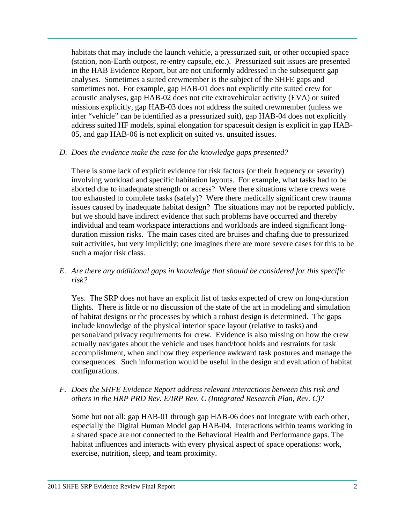habitats that may include the launch vehicle, a pressurized suit, or other occupied space (station, non-Earth outpost, re-entry capsule, etc.). Pressurized suit issues are presented in the HAB Evidence Report, but are not uniformly addressed in the subsequent gap analyses. Sometimes a suited crewmember is the subject of the SHFE gaps and sometimes not. For example, gap HAB-01 does not explicitly cite suited crew for acoustic analyses, gap HAB-02 does not cite extravehicular activity (EVA) or suited missions explicitly, gap HAB-03 does not address the suited crewmember (unless we infer "vehicle" can be identified as a pressurized suit), gap HAB-04 does not explicitly address suited HF models, spinal elongation for spacesuit design is explicit in gap HAB-05, and gap HAB-06 is not explicit on suited vs. unsuited issues.

#### *D. Does the evidence make the case for the knowledge gaps presented?*

There is some lack of explicit evidence for risk factors (or their frequency or severity) involving workload and specific habitation layouts. For example, what tasks had to be aborted due to inadequate strength or access? Were there situations where crews were too exhausted to complete tasks (safely)? Were there medically significant crew trauma issues caused by inadequate habitat design? The situations may not be reported publicly, but we should have indirect evidence that such problems have occurred and thereby individual and team workspace interactions and workloads are indeed significant longduration mission risks. The main cases cited are bruises and chafing due to pressurized suit activities, but very implicitly; one imagines there are more severe cases for this to be such a major risk class.

*E. Are there any additional gaps in knowledge that should be considered for this specific risk?* 

Yes. The SRP does not have an explicit list of tasks expected of crew on long-duration flights. There is little or no discussion of the state of the art in modeling and simulation of habitat designs or the processes by which a robust design is determined. The gaps include knowledge of the physical interior space layout (relative to tasks) and personal/and privacy requirements for crew. Evidence is also missing on how the crew actually navigates about the vehicle and uses hand/foot holds and restraints for task accomplishment, when and how they experience awkward task postures and manage the consequences. Such information would be useful in the design and evaluation of habitat configurations.

### *F. Does the SHFE Evidence Report address relevant interactions between this risk and others in the HRP PRD Rev. E/IRP Rev. C (Integrated Research Plan, Rev. C)?*

Some but not all: gap HAB-01 through gap HAB-06 does not integrate with each other, especially the Digital Human Model gap HAB-04. Interactions within teams working in a shared space are not connected to the Behavioral Health and Performance gaps. The habitat influences and interacts with every physical aspect of space operations: work, exercise, nutrition, sleep, and team proximity.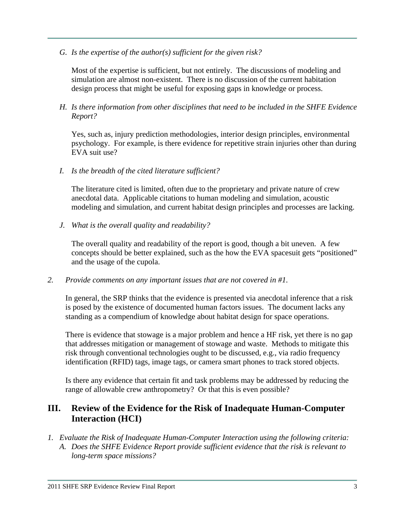*G. Is the expertise of the author(s) sufficient for the given risk?* 

Most of the expertise is sufficient, but not entirely. The discussions of modeling and simulation are almost non-existent. There is no discussion of the current habitation design process that might be useful for exposing gaps in knowledge or process.

*H. Is there information from other disciplines that need to be included in the SHFE Evidence Report?* 

Yes, such as, injury prediction methodologies, interior design principles, environmental psychology. For example, is there evidence for repetitive strain injuries other than during EVA suit use?

*I. Is the breadth of the cited literature sufficient?* 

The literature cited is limited, often due to the proprietary and private nature of crew anecdotal data. Applicable citations to human modeling and simulation, acoustic modeling and simulation, and current habitat design principles and processes are lacking.

*J. What is the overall quality and readability?* 

The overall quality and readability of the report is good, though a bit uneven. A few concepts should be better explained, such as the how the EVA spacesuit gets "positioned" and the usage of the cupola.

*2. Provide comments on any important issues that are not covered in #1.* 

In general, the SRP thinks that the evidence is presented via anecdotal inference that a risk is posed by the existence of documented human factors issues. The document lacks any standing as a compendium of knowledge about habitat design for space operations.

There is evidence that stowage is a major problem and hence a HF risk, yet there is no gap that addresses mitigation or management of stowage and waste. Methods to mitigate this risk through conventional technologies ought to be discussed, e.g., via radio frequency identification (RFID) tags, image tags, or camera smart phones to track stored objects.

Is there any evidence that certain fit and task problems may be addressed by reducing the range of allowable crew anthropometry? Or that this is even possible?

# **III. Review of the Evidence for the Risk of Inadequate Human-Computer Interaction (HCI)**

*1. Evaluate the Risk of Inadequate Human-Computer Interaction using the following criteria: A. Does the SHFE Evidence Report provide sufficient evidence that the risk is relevant to long-term space missions?*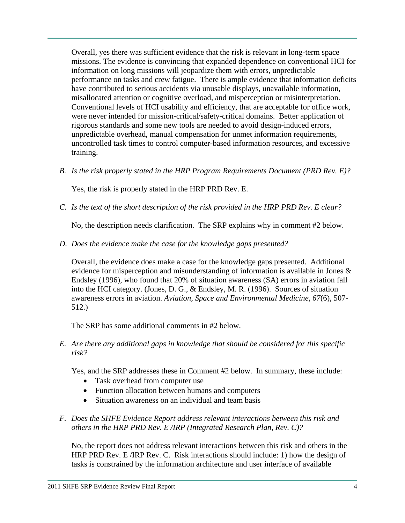Overall, yes there was sufficient evidence that the risk is relevant in long-term space missions. The evidence is convincing that expanded dependence on conventional HCI for information on long missions will jeopardize them with errors, unpredictable performance on tasks and crew fatigue. There is ample evidence that information deficits have contributed to serious accidents via unusable displays, unavailable information, misallocated attention or cognitive overload, and misperception or misinterpretation. Conventional levels of HCI usability and efficiency, that are acceptable for office work, were never intended for mission-critical/safety-critical domains. Better application of rigorous standards and some new tools are needed to avoid design-induced errors, unpredictable overhead, manual compensation for unmet information requirements, uncontrolled task times to control computer-based information resources, and excessive training.

*B. Is the risk properly stated in the HRP Program Requirements Document (PRD Rev. E)?* 

Yes, the risk is properly stated in the HRP PRD Rev. E.

*C. Is the text of the short description of the risk provided in the HRP PRD Rev. E clear?* 

No, the description needs clarification. The SRP explains why in comment #2 below.

*D. Does the evidence make the case for the knowledge gaps presented?* 

Overall, the evidence does make a case for the knowledge gaps presented. Additional evidence for misperception and misunderstanding of information is available in Jones & Endsley (1996), who found that 20% of situation awareness (SA) errors in aviation fall into the HCI category. (Jones, D. G., & Endsley, M. R. (1996). Sources of situation awareness errors in aviation. *Aviation, Space and Environmental Medicine, 67*(6), 507- 512.)

The SRP has some additional comments in #2 below.

*E. Are there any additional gaps in knowledge that should be considered for this specific risk?* 

Yes, and the SRP addresses these in Comment #2 below. In summary, these include:

- Task overhead from computer use
- Function allocation between humans and computers
- Situation awareness on an individual and team basis
- *F. Does the SHFE Evidence Report address relevant interactions between this risk and others in the HRP PRD Rev. E /IRP (Integrated Research Plan, Rev. C)?*

No, the report does not address relevant interactions between this risk and others in the HRP PRD Rev. E /IRP Rev. C. Risk interactions should include: 1) how the design of tasks is constrained by the information architecture and user interface of available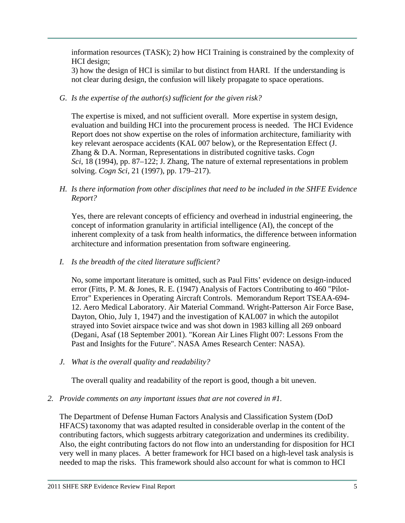information resources (TASK); 2) how HCI Training is constrained by the complexity of HCI design;

3) how the design of HCI is similar to but distinct from HARI. If the understanding is not clear during design, the confusion will likely propagate to space operations.

### *G. Is the expertise of the author(s) sufficient for the given risk?*

The expertise is mixed, and not sufficient overall. More expertise in system design, evaluation and building HCI into the procurement process is needed. The HCI Evidence Report does not show expertise on the roles of information architecture, familiarity with key relevant aerospace accidents (KAL 007 below), or the Representation Effect (J. Zhang & D.A. Norman, Representations in distributed cognitive tasks. *Cogn Sci*, 18 (1994), pp. 87–122; J. Zhang, The nature of external representations in problem solving. *Cogn Sci*, 21 (1997), pp. 179–217).

### *H. Is there information from other disciplines that need to be included in the SHFE Evidence Report?*

Yes, there are relevant concepts of efficiency and overhead in industrial engineering, the concept of information granularity in artificial intelligence (AI), the concept of the inherent complexity of a task from health informatics, the difference between information architecture and information presentation from software engineering.

### *I. Is the breadth of the cited literature sufficient?*

No, some important literature is omitted, such as Paul Fitts' evidence on design-induced error (Fitts, P. M. & Jones, R. E. (1947) Analysis of Factors Contributing to 460 "Pilot-Error" Experiences in Operating Aircraft Controls. Memorandum Report TSEAA-694- 12. Aero Medical Laboratory. Air Material Command. Wright-Patterson Air Force Base, Dayton, Ohio, July 1, 1947) and the investigation of KAL007 in which the autopilot strayed into Soviet airspace twice and was shot down in 1983 killing all 269 onboard (Degani, Asaf (18 September 2001). "Korean Air Lines Flight 007: Lessons From the Past and Insights for the Future". NASA Ames Research Center: NASA).

*J. What is the overall quality and readability?* 

The overall quality and readability of the report is good, though a bit uneven.

### *2. Provide comments on any important issues that are not covered in #1.*

The Department of Defense Human Factors Analysis and Classification System (DoD HFACS) taxonomy that was adapted resulted in considerable overlap in the content of the contributing factors, which suggests arbitrary categorization and undermines its credibility. Also, the eight contributing factors do not flow into an understanding for disposition for HCI very well in many places. A better framework for HCI based on a high-level task analysis is needed to map the risks. This framework should also account for what is common to HCI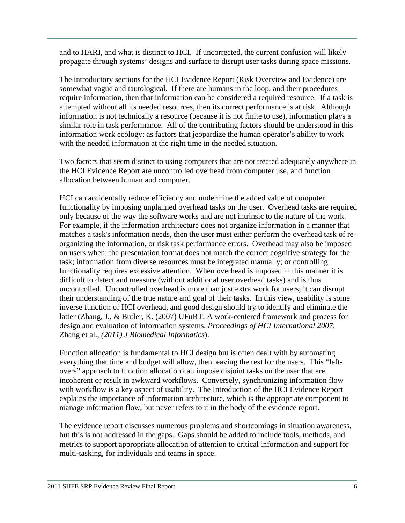and to HARI, and what is distinct to HCI. If uncorrected, the current confusion will likely propagate through systems' designs and surface to disrupt user tasks during space missions.

The introductory sections for the HCI Evidence Report (Risk Overview and Evidence) are somewhat vague and tautological. If there are humans in the loop, and their procedures require information, then that information can be considered a required resource. If a task is attempted without all its needed resources, then its correct performance is at risk. Although information is not technically a resource (because it is not finite to use), information plays a similar role in task performance. All of the contributing factors should be understood in this information work ecology: as factors that jeopardize the human operator's ability to work with the needed information at the right time in the needed situation.

Two factors that seem distinct to using computers that are not treated adequately anywhere in the HCI Evidence Report are uncontrolled overhead from computer use, and function allocation between human and computer.

HCI can accidentally reduce efficiency and undermine the added value of computer functionality by imposing unplanned overhead tasks on the user. Overhead tasks are required only because of the way the software works and are not intrinsic to the nature of the work. For example, if the information architecture does not organize information in a manner that matches a task's information needs, then the user must either perform the overhead task of reorganizing the information, or risk task performance errors. Overhead may also be imposed on users when: the presentation format does not match the correct cognitive strategy for the task; information from diverse resources must be integrated manually; or controlling functionality requires excessive attention. When overhead is imposed in this manner it is difficult to detect and measure (without additional user overhead tasks) and is thus uncontrolled. Uncontrolled overhead is more than just extra work for users; it can disrupt their understanding of the true nature and goal of their tasks. In this view, usability is some inverse function of HCI overhead, and good design should try to identify and eliminate the latter (Zhang, J., & Butler, K. (2007) UFuRT: A work-centered framework and process for design and evaluation of information systems. *Proceedings of HCI International 2007*; Zhang et al., *(2011) J Biomedical Informatics*).

Function allocation is fundamental to HCI design but is often dealt with by automating everything that time and budget will allow, then leaving the rest for the users. This "leftovers" approach to function allocation can impose disjoint tasks on the user that are incoherent or result in awkward workflows. Conversely, synchronizing information flow with workflow is a key aspect of usability. The Introduction of the HCI Evidence Report explains the importance of information architecture, which is the appropriate component to manage information flow, but never refers to it in the body of the evidence report.

The evidence report discusses numerous problems and shortcomings in situation awareness, but this is not addressed in the gaps. Gaps should be added to include tools, methods, and metrics to support appropriate allocation of attention to critical information and support for multi-tasking, for individuals and teams in space.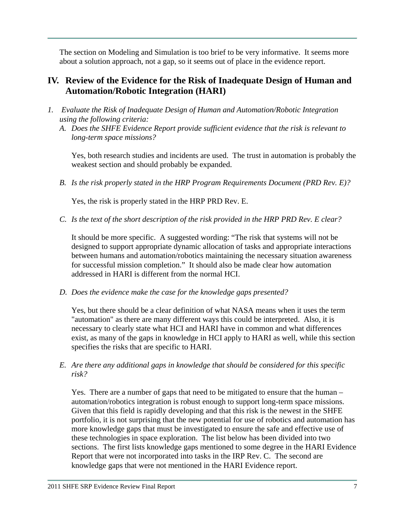The section on Modeling and Simulation is too brief to be very informative. It seems more about a solution approach, not a gap, so it seems out of place in the evidence report.

### **IV. Review of the Evidence for the Risk of Inadequate Design of Human and Automation/Robotic Integration (HARI)**

- *1. Evaluate the Risk of Inadequate Design of Human and Automation/Robotic Integration using the following criteria:* 
	- *A. Does the SHFE Evidence Report provide sufficient evidence that the risk is relevant to long-term space missions?*

Yes, both research studies and incidents are used. The trust in automation is probably the weakest section and should probably be expanded.

*B. Is the risk properly stated in the HRP Program Requirements Document (PRD Rev. E)?* 

Yes, the risk is properly stated in the HRP PRD Rev. E.

*C. Is the text of the short description of the risk provided in the HRP PRD Rev. E clear?* 

It should be more specific. A suggested wording: "The risk that systems will not be designed to support appropriate dynamic allocation of tasks and appropriate interactions between humans and automation/robotics maintaining the necessary situation awareness for successful mission completion." It should also be made clear how automation addressed in HARI is different from the normal HCI.

*D. Does the evidence make the case for the knowledge gaps presented?* 

Yes, but there should be a clear definition of what NASA means when it uses the term "automation" as there are many different ways this could be interpreted. Also, it is necessary to clearly state what HCI and HARI have in common and what differences exist, as many of the gaps in knowledge in HCI apply to HARI as well, while this section specifies the risks that are specific to HARI.

*E. Are there any additional gaps in knowledge that should be considered for this specific risk?* 

Yes. There are a number of gaps that need to be mitigated to ensure that the human – automation/robotics integration is robust enough to support long-term space missions. Given that this field is rapidly developing and that this risk is the newest in the SHFE portfolio, it is not surprising that the new potential for use of robotics and automation has more knowledge gaps that must be investigated to ensure the safe and effective use of these technologies in space exploration. The list below has been divided into two sections. The first lists knowledge gaps mentioned to some degree in the HARI Evidence Report that were not incorporated into tasks in the IRP Rev. C. The second are knowledge gaps that were not mentioned in the HARI Evidence report.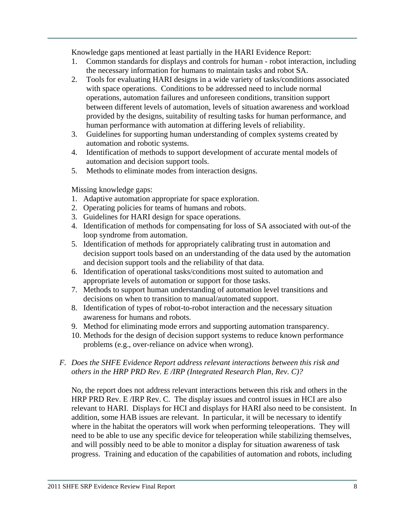Knowledge gaps mentioned at least partially in the HARI Evidence Report:

- 1. Common standards for displays and controls for human robot interaction, including the necessary information for humans to maintain tasks and robot SA.
- 2. Tools for evaluating HARI designs in a wide variety of tasks/conditions associated with space operations. Conditions to be addressed need to include normal operations, automation failures and unforeseen conditions, transition support between different levels of automation, levels of situation awareness and workload provided by the designs, suitability of resulting tasks for human performance, and human performance with automation at differing levels of reliability.
- 3. Guidelines for supporting human understanding of complex systems created by automation and robotic systems.
- 4. Identification of methods to support development of accurate mental models of automation and decision support tools.
- 5. Methods to eliminate modes from interaction designs.

Missing knowledge gaps:

- 1. Adaptive automation appropriate for space exploration.
- 2. Operating policies for teams of humans and robots.
- 3. Guidelines for HARI design for space operations.
- 4. Identification of methods for compensating for loss of SA associated with out-of the loop syndrome from automation.
- 5. Identification of methods for appropriately calibrating trust in automation and decision support tools based on an understanding of the data used by the automation and decision support tools and the reliability of that data.
- 6. Identification of operational tasks/conditions most suited to automation and appropriate levels of automation or support for those tasks.
- 7. Methods to support human understanding of automation level transitions and decisions on when to transition to manual/automated support.
- 8. Identification of types of robot-to-robot interaction and the necessary situation awareness for humans and robots.
- 9. Method for eliminating mode errors and supporting automation transparency.
- 10. Methods for the design of decision support systems to reduce known performance problems (e.g., over-reliance on advice when wrong).
- *F. Does the SHFE Evidence Report address relevant interactions between this risk and others in the HRP PRD Rev. E /IRP (Integrated Research Plan, Rev. C)?*

No, the report does not address relevant interactions between this risk and others in the HRP PRD Rev. E /IRP Rev. C. The display issues and control issues in HCI are also relevant to HARI. Displays for HCI and displays for HARI also need to be consistent. In addition, some HAB issues are relevant. In particular, it will be necessary to identify where in the habitat the operators will work when performing teleoperations. They will need to be able to use any specific device for teleoperation while stabilizing themselves, and will possibly need to be able to monitor a display for situation awareness of task progress. Training and education of the capabilities of automation and robots, including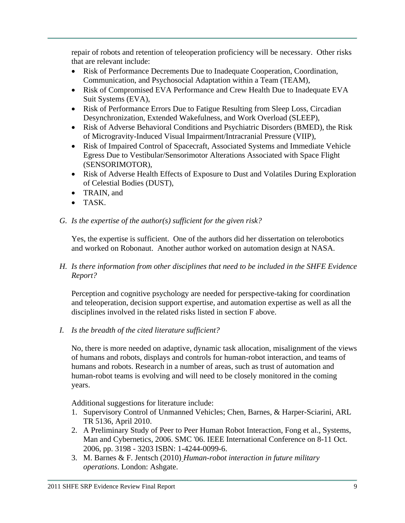repair of robots and retention of teleoperation proficiency will be necessary. Other risks that are relevant include:

- Risk of Performance Decrements Due to Inadequate Cooperation, Coordination, Communication, and Psychosocial Adaptation within a Team (TEAM),
- Risk of Compromised EVA Performance and Crew Health Due to Inadequate EVA Suit Systems (EVA),
- Risk of Performance Errors Due to Fatigue Resulting from Sleep Loss, Circadian Desynchronization, Extended Wakefulness, and Work Overload (SLEEP),
- Risk of Adverse Behavioral Conditions and Psychiatric Disorders (BMED), the Risk of Microgravity-Induced Visual Impairment/Intracranial Pressure (VIIP),
- Risk of Impaired Control of Spacecraft, Associated Systems and Immediate Vehicle Egress Due to Vestibular/Sensorimotor Alterations Associated with Space Flight (SENSORIMOTOR),
- Risk of Adverse Health Effects of Exposure to Dust and Volatiles During Exploration of Celestial Bodies (DUST),
- TRAIN, and
- TASK.

### *G. Is the expertise of the author(s) sufficient for the given risk?*

Yes, the expertise is sufficient. One of the authors did her dissertation on telerobotics and worked on Robonaut. Another author worked on automation design at NASA.

*H. Is there information from other disciplines that need to be included in the SHFE Evidence Report?* 

Perception and cognitive psychology are needed for perspective-taking for coordination and teleoperation, decision support expertise, and automation expertise as well as all the disciplines involved in the related risks listed in section F above.

*I. Is the breadth of the cited literature sufficient?* 

No, there is more needed on adaptive, dynamic task allocation, misalignment of the views of humans and robots, displays and controls for human-robot interaction, and teams of humans and robots. Research in a number of areas, such as trust of automation and human-robot teams is evolving and will need to be closely monitored in the coming years.

Additional suggestions for literature include:

- 1. Supervisory Control of Unmanned Vehicles; Chen, Barnes, & Harper-Sciarini, ARL TR 5136, April 2010.
- 2. A Preliminary Study of Peer to Peer Human Robot Interaction, Fong et al., Systems, Man and Cybernetics, 2006. SMC '06. IEEE International Conference on 8-11 Oct. 2006, pp. 3198 - 3203 ISBN: 1-4244-0099-6.
- 3. M. Barnes & F. Jentsch (2010) *Human-robot interaction in future military operations*. London: Ashgate.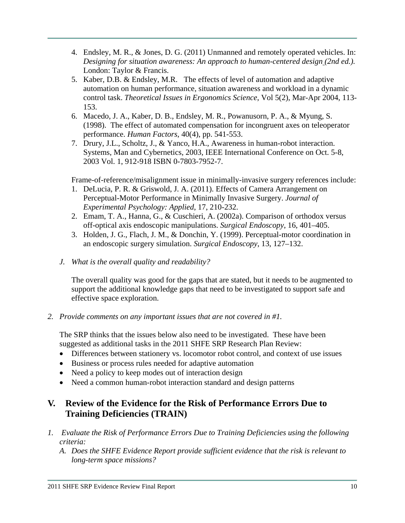- 4. Endsley, M. R., & Jones, D. G. (2011) Unmanned and remotely operated vehicles. In: *Designing for situation awareness: An approach to human-centered design (2nd ed.).* London: Taylor & Francis.
- 5. Kaber, D.B. & Endsley, M.R. The effects of level of automation and adaptive automation on human performance, situation awareness and workload in a dynamic control task. *Theoretical Issues in Ergonomics Science*, Vol 5(2), Mar-Apr 2004, 113- 153.
- 6. Macedo, J. A., Kaber, D. B., Endsley, M. R., Powanusorn, P. A., & Myung, S. (1998). The effect of automated compensation for incongruent axes on teleoperator performance. *Human Factors*, 40(4), pp. 541-553.
- 7. Drury, J.L., Scholtz, J., & Yanco, H.A., Awareness in human-robot interaction. Systems, Man and Cybernetics, 2003, IEEE International Conference on Oct. 5-8, 2003 Vol. 1, 912-918 ISBN 0-7803-7952-7.

Frame-of-reference/misalignment issue in minimally-invasive surgery references include:

- 1. DeLucia, P. R. & Griswold, J. A. (2011). Effects of Camera Arrangement on Perceptual-Motor Performance in Minimally Invasive Surgery. *Journal of Experimental Psychology: Applied*, 17, 210-232.
- 2. Emam, T. A., Hanna, G., & Cuschieri, A. (2002a). Comparison of orthodox versus off-optical axis endoscopic manipulations. *Surgical Endoscopy*, 16, 401–405.
- 3. Holden, J. G., Flach, J. M., & Donchin, Y. (1999). Perceptual-motor coordination in an endoscopic surgery simulation. *Surgical Endoscopy*, 13, 127–132.
- *J. What is the overall quality and readability?*

The overall quality was good for the gaps that are stated, but it needs to be augmented to support the additional knowledge gaps that need to be investigated to support safe and effective space exploration.

*2. Provide comments on any important issues that are not covered in #1.* 

The SRP thinks that the issues below also need to be investigated. These have been suggested as additional tasks in the 2011 SHFE SRP Research Plan Review:

- Differences between stationery vs. locomotor robot control, and context of use issues
- Business or process rules needed for adaptive automation
- Need a policy to keep modes out of interaction design
- Need a common human-robot interaction standard and design patterns

# **V. Review of the Evidence for the Risk of Performance Errors Due to Training Deficiencies (TRAIN)**

- *1. Evaluate the Risk of Performance Errors Due to Training Deficiencies using the following criteria:* 
	- *A. Does the SHFE Evidence Report provide sufficient evidence that the risk is relevant to long-term space missions?*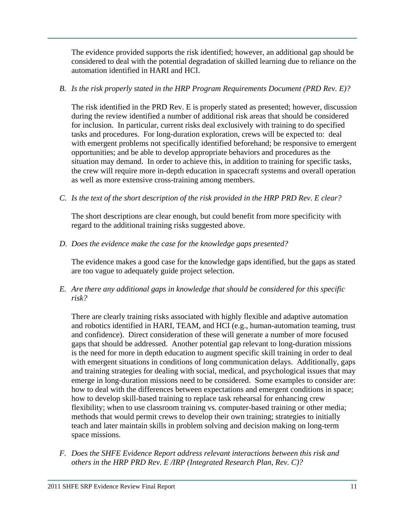The evidence provided supports the risk identified; however, an additional gap should be considered to deal with the potential degradation of skilled learning due to reliance on the automation identified in HARI and HCI.

### *B. Is the risk properly stated in the HRP Program Requirements Document (PRD Rev. E)?*

The risk identified in the PRD Rev. E is properly stated as presented; however, discussion during the review identified a number of additional risk areas that should be considered for inclusion. In particular, current risks deal exclusively with training to do specified tasks and procedures. For long-duration exploration, crews will be expected to: deal with emergent problems not specifically identified beforehand; be responsive to emergent opportunities; and be able to develop appropriate behaviors and procedures as the situation may demand. In order to achieve this, in addition to training for specific tasks, the crew will require more in-depth education in spacecraft systems and overall operation as well as more extensive cross-training among members.

*C. Is the text of the short description of the risk provided in the HRP PRD Rev. E clear?* 

The short descriptions are clear enough, but could benefit from more specificity with regard to the additional training risks suggested above.

*D. Does the evidence make the case for the knowledge gaps presented?* 

The evidence makes a good case for the knowledge gaps identified, but the gaps as stated are too vague to adequately guide project selection.

*E. Are there any additional gaps in knowledge that should be considered for this specific risk?* 

There are clearly training risks associated with highly flexible and adaptive automation and robotics identified in HARI, TEAM, and HCI (e.g., human-automation teaming, trust and confidence). Direct consideration of these will generate a number of more focused gaps that should be addressed. Another potential gap relevant to long-duration missions is the need for more in depth education to augment specific skill training in order to deal with emergent situations in conditions of long communication delays. Additionally, gaps and training strategies for dealing with social, medical, and psychological issues that may emerge in long-duration missions need to be considered. Some examples to consider are: how to deal with the differences between expectations and emergent conditions in space; how to develop skill-based training to replace task rehearsal for enhancing crew flexibility; when to use classroom training vs. computer-based training or other media; methods that would permit crews to develop their own training; strategies to initially teach and later maintain skills in problem solving and decision making on long-term space missions.

*F. Does the SHFE Evidence Report address relevant interactions between this risk and others in the HRP PRD Rev. E /IRP (Integrated Research Plan, Rev. C)?*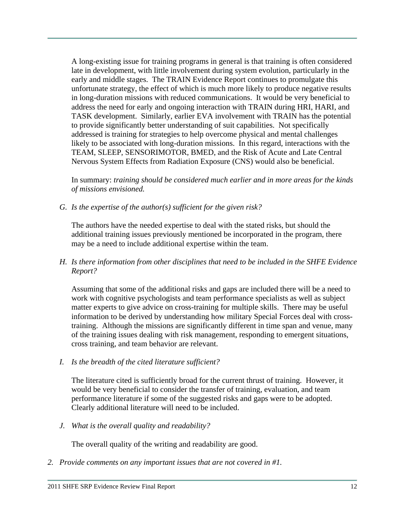A long-existing issue for training programs in general is that training is often considered late in development, with little involvement during system evolution, particularly in the early and middle stages. The TRAIN Evidence Report continues to promulgate this unfortunate strategy, the effect of which is much more likely to produce negative results in long-duration missions with reduced communications. It would be very beneficial to address the need for early and ongoing interaction with TRAIN during HRI, HARI, and TASK development. Similarly, earlier EVA involvement with TRAIN has the potential to provide significantly better understanding of suit capabilities. Not specifically addressed is training for strategies to help overcome physical and mental challenges likely to be associated with long-duration missions. In this regard, interactions with the TEAM, SLEEP, SENSORIMOTOR, BMED, and the Risk of Acute and Late Central Nervous System Effects from Radiation Exposure (CNS) would also be beneficial.

In summary: *training should be considered much earlier and in more areas for the kinds of missions envisioned.* 

*G. Is the expertise of the author(s) sufficient for the given risk?* 

The authors have the needed expertise to deal with the stated risks, but should the additional training issues previously mentioned be incorporated in the program, there may be a need to include additional expertise within the team.

*H. Is there information from other disciplines that need to be included in the SHFE Evidence Report?* 

Assuming that some of the additional risks and gaps are included there will be a need to work with cognitive psychologists and team performance specialists as well as subject matter experts to give advice on cross-training for multiple skills. There may be useful information to be derived by understanding how military Special Forces deal with crosstraining. Although the missions are significantly different in time span and venue, many of the training issues dealing with risk management, responding to emergent situations, cross training, and team behavior are relevant.

*I. Is the breadth of the cited literature sufficient?* 

The literature cited is sufficiently broad for the current thrust of training. However, it would be very beneficial to consider the transfer of training, evaluation, and team performance literature if some of the suggested risks and gaps were to be adopted. Clearly additional literature will need to be included.

*J. What is the overall quality and readability?* 

The overall quality of the writing and readability are good.

*2. Provide comments on any important issues that are not covered in #1.*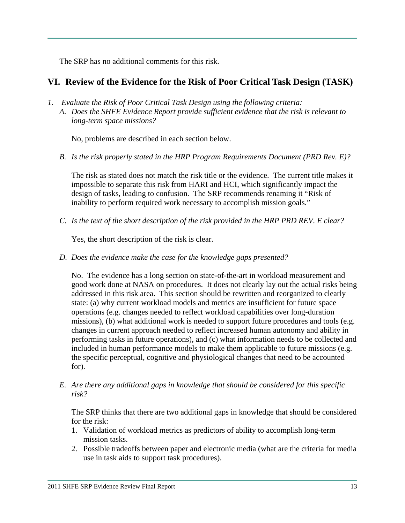The SRP has no additional comments for this risk.

### **VI. Review of the Evidence for the Risk of Poor Critical Task Design (TASK)**

- *1. Evaluate the Risk of Poor Critical Task Design using the following criteria:* 
	- *A. Does the SHFE Evidence Report provide sufficient evidence that the risk is relevant to long-term space missions?*

No, problems are described in each section below.

*B. Is the risk properly stated in the HRP Program Requirements Document (PRD Rev. E)?* 

The risk as stated does not match the risk title or the evidence. The current title makes it impossible to separate this risk from HARI and HCI, which significantly impact the design of tasks, leading to confusion. The SRP recommends renaming it "Risk of inability to perform required work necessary to accomplish mission goals."

*C. Is the text of the short description of the risk provided in the HRP PRD REV. E clear?* 

Yes, the short description of the risk is clear.

*D. Does the evidence make the case for the knowledge gaps presented?* 

No. The evidence has a long section on state-of-the-art in workload measurement and good work done at NASA on procedures. It does not clearly lay out the actual risks being addressed in this risk area. This section should be rewritten and reorganized to clearly state: (a) why current workload models and metrics are insufficient for future space operations (e.g. changes needed to reflect workload capabilities over long-duration missions), (b) what additional work is needed to support future procedures and tools (e.g. changes in current approach needed to reflect increased human autonomy and ability in performing tasks in future operations), and (c) what information needs to be collected and included in human performance models to make them applicable to future missions (e.g. the specific perceptual, cognitive and physiological changes that need to be accounted for).

*E. Are there any additional gaps in knowledge that should be considered for this specific risk?* 

The SRP thinks that there are two additional gaps in knowledge that should be considered for the risk:

- 1. Validation of workload metrics as predictors of ability to accomplish long-term mission tasks.
- 2. Possible tradeoffs between paper and electronic media (what are the criteria for media use in task aids to support task procedures).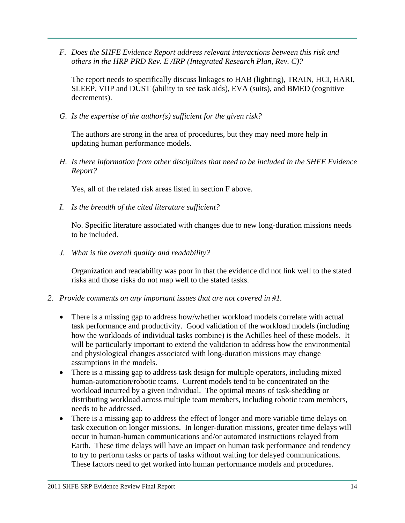*F. Does the SHFE Evidence Report address relevant interactions between this risk and others in the HRP PRD Rev. E /IRP (Integrated Research Plan, Rev. C)?* 

The report needs to specifically discuss linkages to HAB (lighting), TRAIN, HCI, HARI, SLEEP, VIIP and DUST (ability to see task aids), EVA (suits), and BMED (cognitive decrements).

*G. Is the expertise of the author(s) sufficient for the given risk?* 

The authors are strong in the area of procedures, but they may need more help in updating human performance models.

*H. Is there information from other disciplines that need to be included in the SHFE Evidence Report?* 

Yes, all of the related risk areas listed in section F above.

*I. Is the breadth of the cited literature sufficient?* 

No. Specific literature associated with changes due to new long-duration missions needs to be included.

*J. What is the overall quality and readability?* 

Organization and readability was poor in that the evidence did not link well to the stated risks and those risks do not map well to the stated tasks.

- *2. Provide comments on any important issues that are not covered in #1.* 
	- There is a missing gap to address how/whether workload models correlate with actual task performance and productivity. Good validation of the workload models (including how the workloads of individual tasks combine) is the Achilles heel of these models. It will be particularly important to extend the validation to address how the environmental and physiological changes associated with long-duration missions may change assumptions in the models.
	- There is a missing gap to address task design for multiple operators, including mixed human-automation/robotic teams. Current models tend to be concentrated on the workload incurred by a given individual. The optimal means of task-shedding or distributing workload across multiple team members, including robotic team members, needs to be addressed.
	- There is a missing gap to address the effect of longer and more variable time delays on task execution on longer missions. In longer-duration missions, greater time delays will occur in human-human communications and/or automated instructions relayed from Earth. These time delays will have an impact on human task performance and tendency to try to perform tasks or parts of tasks without waiting for delayed communications. These factors need to get worked into human performance models and procedures.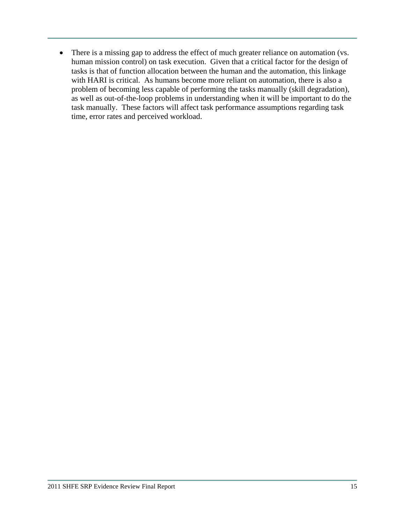• There is a missing gap to address the effect of much greater reliance on automation (vs. human mission control) on task execution. Given that a critical factor for the design of tasks is that of function allocation between the human and the automation, this linkage with HARI is critical. As humans become more reliant on automation, there is also a problem of becoming less capable of performing the tasks manually (skill degradation), as well as out-of-the-loop problems in understanding when it will be important to do the task manually. These factors will affect task performance assumptions regarding task time, error rates and perceived workload.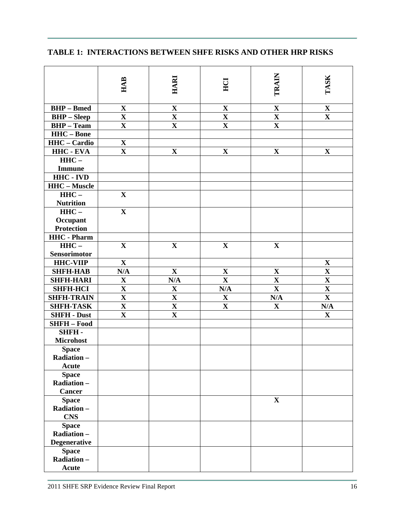|                      | <b>HAB</b>              | HARI                    | HCI                     | TRAIN                   | TASK                    |
|----------------------|-------------------------|-------------------------|-------------------------|-------------------------|-------------------------|
|                      |                         |                         |                         |                         |                         |
| <b>BHP</b> – Bmed    | $\mathbf X$             | $\mathbf X$             | $\mathbf X$             | $\mathbf X$             | $\mathbf X$             |
| <b>BHP</b> – Sleep   | $\overline{\mathbf{X}}$ | $\overline{\mathbf{X}}$ | $\overline{\mathbf{X}}$ | $\overline{\mathbf{X}}$ | $\overline{\mathbf{X}}$ |
| <b>BHP</b> – Team    | $\mathbf X$             | $\mathbf X$             | $\mathbf X$             | $\mathbf X$             |                         |
| <b>HHC-Bone</b>      |                         |                         |                         |                         |                         |
| <b>HHC</b> – Cardio  | $\mathbf X$             |                         |                         |                         |                         |
| HHC - EVA            | $\mathbf X$             | $\mathbf X$             | $\mathbf X$             | $\mathbf X$             | $\mathbf X$             |
| $HHC -$              |                         |                         |                         |                         |                         |
| <b>Immune</b>        |                         |                         |                         |                         |                         |
| <b>HHC - IVD</b>     |                         |                         |                         |                         |                         |
| <b>HHC</b> – Muscle  |                         |                         |                         |                         |                         |
| $HHC -$              | $\mathbf X$             |                         |                         |                         |                         |
| <b>Nutrition</b>     |                         |                         |                         |                         |                         |
| $HHC -$              | $\mathbf X$             |                         |                         |                         |                         |
| Occupant             |                         |                         |                         |                         |                         |
| <b>Protection</b>    |                         |                         |                         |                         |                         |
| <b>HHC</b> - Pharm   |                         |                         |                         |                         |                         |
| $HHC -$              | $\mathbf X$             | $\mathbf X$             | $\mathbf X$             | $\mathbf{X}$            |                         |
| <b>Sensorimotor</b>  |                         |                         |                         |                         |                         |
| <b>HHC-VIIP</b>      | $\mathbf X$             |                         |                         |                         | $\mathbf X$             |
| <b>SHFH-HAB</b>      | N/A                     | $\mathbf X$             | $\mathbf X$             | $\mathbf X$             | $\mathbf X$             |
| <b>SHFH-HARI</b>     | $\mathbf X$             | N/A                     | $\mathbf X$             | $\mathbf X$             | $\mathbf X$             |
| <b>SHFH-HCI</b>      | $\overline{\mathbf{X}}$ | $\mathbf X$             | N/A                     | $\mathbf X$             | $\mathbf X$             |
| <b>SHFH-TRAIN</b>    | $\overline{\mathbf{X}}$ | $\overline{\mathbf{X}}$ | $\mathbf X$             | N/A                     | $\overline{\mathbf{X}}$ |
| <b>SHFH-TASK</b>     | $\mathbf X$             | $\mathbf X$             | $\mathbf X$             | $\mathbf X$             | N/A                     |
| <b>SHFH - Dust</b>   | $\mathbf{X}$            | $\overline{\mathbf{X}}$ |                         |                         | $\mathbf X$             |
| <b>SHFH-Food</b>     |                         |                         |                         |                         |                         |
| SHFH-                |                         |                         |                         |                         |                         |
| <b>Microhost</b>     |                         |                         |                         |                         |                         |
| <b>Space</b>         |                         |                         |                         |                         |                         |
| Radiation-           |                         |                         |                         |                         |                         |
| <b>Acute</b>         |                         |                         |                         |                         |                         |
| <b>Space</b>         |                         |                         |                         |                         |                         |
| Radiation-<br>Cancer |                         |                         |                         |                         |                         |
| <b>Space</b>         |                         |                         |                         | $\mathbf{X}$            |                         |
| Radiation-           |                         |                         |                         |                         |                         |
| <b>CNS</b>           |                         |                         |                         |                         |                         |
| <b>Space</b>         |                         |                         |                         |                         |                         |
| Radiation-           |                         |                         |                         |                         |                         |
| <b>Degenerative</b>  |                         |                         |                         |                         |                         |
| <b>Space</b>         |                         |                         |                         |                         |                         |
| Radiation-           |                         |                         |                         |                         |                         |
| <b>Acute</b>         |                         |                         |                         |                         |                         |

# **TABLE 1: INTERACTIONS BETWEEN SHFE RISKS AND OTHER HRP RISKS**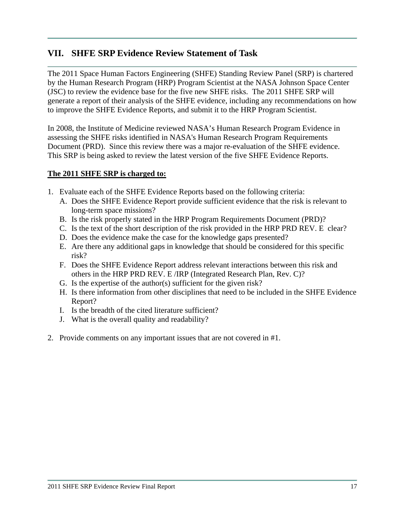## **VII. SHFE SRP Evidence Review Statement of Task**

The 2011 Space Human Factors Engineering (SHFE) Standing Review Panel (SRP) is chartered by the Human Research Program (HRP) Program Scientist at the NASA Johnson Space Center (JSC) to review the evidence base for the five new SHFE risks. The 2011 SHFE SRP will generate a report of their analysis of the SHFE evidence, including any recommendations on how to improve the SHFE Evidence Reports, and submit it to the HRP Program Scientist.

In 2008, the Institute of Medicine reviewed NASA's Human Research Program Evidence in assessing the SHFE risks identified in NASA's Human Research Program Requirements Document (PRD). Since this review there was a major re-evaluation of the SHFE evidence. This SRP is being asked to review the latest version of the five SHFE Evidence Reports.

### **The 2011 SHFE SRP is charged to:**

- 1. Evaluate each of the SHFE Evidence Reports based on the following criteria:
	- A. Does the SHFE Evidence Report provide sufficient evidence that the risk is relevant to long-term space missions?
	- B. Is the risk properly stated in the HRP Program Requirements Document (PRD)?
	- C. Is the text of the short description of the risk provided in the HRP PRD REV. E clear?
	- D. Does the evidence make the case for the knowledge gaps presented?
	- E. Are there any additional gaps in knowledge that should be considered for this specific risk?
	- F. Does the SHFE Evidence Report address relevant interactions between this risk and others in the HRP PRD REV. E /IRP (Integrated Research Plan, Rev. C)?
	- G. Is the expertise of the author(s) sufficient for the given risk?
	- H. Is there information from other disciplines that need to be included in the SHFE Evidence Report?
	- I. Is the breadth of the cited literature sufficient?
	- J. What is the overall quality and readability?
- 2. Provide comments on any important issues that are not covered in #1.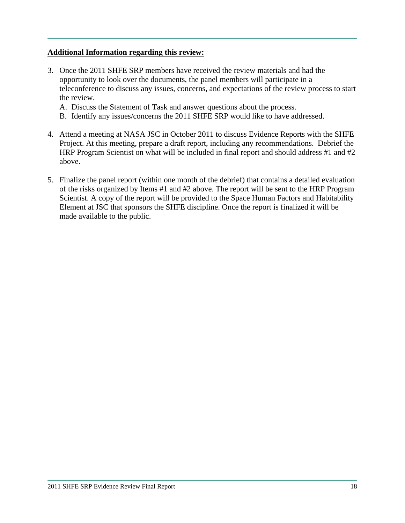### **Additional Information regarding this review:**

- 3. Once the 2011 SHFE SRP members have received the review materials and had the opportunity to look over the documents, the panel members will participate in a teleconference to discuss any issues, concerns, and expectations of the review process to start the review.
	- A. Discuss the Statement of Task and answer questions about the process.
	- B. Identify any issues/concerns the 2011 SHFE SRP would like to have addressed.
- 4. Attend a meeting at NASA JSC in October 2011 to discuss Evidence Reports with the SHFE Project. At this meeting, prepare a draft report, including any recommendations. Debrief the HRP Program Scientist on what will be included in final report and should address #1 and #2 above.
- 5. Finalize the panel report (within one month of the debrief) that contains a detailed evaluation of the risks organized by Items #1 and #2 above. The report will be sent to the HRP Program Scientist. A copy of the report will be provided to the Space Human Factors and Habitability Element at JSC that sponsors the SHFE discipline. Once the report is finalized it will be made available to the public.